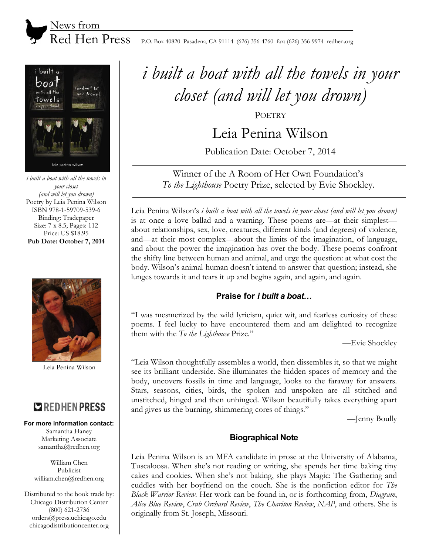



*i built a boat with all the towels in your closet (and will let you drown)* Poetry by Leia Penina Wilson ISBN 978-1-59709-539-6 Binding: Tradepaper Size: 7 x 8.5; Pages: 112 Price: US \$18.95 **Pub Date: October 7, 2014** 



Leia Penina Wilson

# **COREDHEN PRESS**

#### **For more information contact:**

Samantha Haney Marketing Associate samantha@redhen.org

William Chen Publicist william.chen@redhen.org

Distributed to the book trade by: Chicago Distribution Center (800) 621-2736 orders@press.uchicago.edu chicagodistributioncenter.org

# *i built a boat with all the towels in your closet (and will let you drown)*

**POETRY** 

Leia Penina Wilson

Publication Date: October 7, 2014

Winner of the A Room of Her Own Foundation's *To the Lighthouse* Poetry Prize, selected by Evie Shockley.

Leia Penina Wilson's *i built a boat with all the towels in your closet (and will let you drown)* is at once a love ballad and a warning. These poems are—at their simplest about relationships, sex, love, creatures, different kinds (and degrees) of violence, and—at their most complex—about the limits of the imagination, of language, and about the power the imagination has over the body. These poems confront the shifty line between human and animal, and urge the question: at what cost the body. Wilson's animal-human doesn't intend to answer that question; instead, she lunges towards it and tears it up and begins again, and again, and again.

# **Praise for** *i built a boat...*

"I was mesmerized by the wild lyricism, quiet wit, and fearless curiosity of these poems. I feel lucky to have encountered them and am delighted to recognize them with the *To the Lighthouse* Prize."

—Evie Shockley

"Leia Wilson thoughtfully assembles a world, then dissembles it, so that we might see its brilliant underside. She illuminates the hidden spaces of memory and the body, uncovers fossils in time and language, looks to the faraway for answers. Stars, seasons, cities, birds, the spoken and unspoken are all stitched and unstitched, hinged and then unhinged. Wilson beautifully takes everything apart and gives us the burning, shimmering cores of things."

—Jenny Boully

# **Biographical Note**

Leia Penina Wilson is an MFA candidate in prose at the University of Alabama, Tuscaloosa. When she's not reading or writing, she spends her time baking tiny cakes and cookies. When she's not baking, she plays Magic: The Gathering and cuddles with her boyfriend on the couch. She is the nonfiction editor for *The Black Warrior Review*. Her work can be found in, or is forthcoming from, *Diagram*, *Alice Blue Review*, *Crab Orchard Review*, *The Chariton Review*, *NAP*, and others. She is originally from St. Joseph, Missouri.